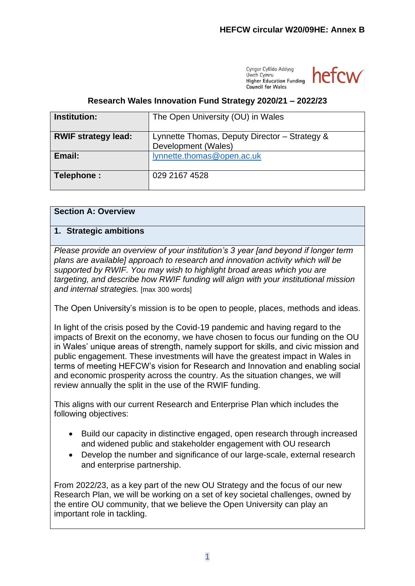Cyngor Cyllido Addysg Hwch Cymru **Higher Education Funding** Council for Wales



# **Research Wales Innovation Fund Strategy 2020/21 – 2022/23**

| <b>Institution:</b>        | The Open University (OU) in Wales                                    |
|----------------------------|----------------------------------------------------------------------|
| <b>RWIF strategy lead:</b> | Lynnette Thomas, Deputy Director - Strategy &<br>Development (Wales) |
| Email:                     | lynnette.thomas@open.ac.uk                                           |
| Telephone:                 | 029 2167 4528                                                        |

# **Section A: Overview**

#### **1. Strategic ambitions**

*Please provide an overview of your institution's 3 year [and beyond if longer term plans are available] approach to research and innovation activity which will be supported by RWIF. You may wish to highlight broad areas which you are targeting, and describe how RWIF funding will align with your institutional mission and internal strategies.* [max 300 words]

The Open University's mission is to be open to people, places, methods and ideas.

In light of the crisis posed by the Covid-19 pandemic and having regard to the impacts of Brexit on the economy, we have chosen to focus our funding on the OU in Wales' unique areas of strength, namely support for skills, and civic mission and public engagement. These investments will have the greatest impact in Wales in terms of meeting HEFCW's vision for Research and Innovation and enabling social and economic prosperity across the country. As the situation changes, we will review annually the split in the use of the RWIF funding.

This aligns with our current Research and Enterprise Plan which includes the following objectives:

- Build our capacity in distinctive engaged, open research through increased and widened public and stakeholder engagement with OU research
- Develop the number and significance of our large-scale, external research and enterprise partnership.

From 2022/23, as a key part of the new OU Strategy and the focus of our new Research Plan, we will be working on a set of key societal challenges, owned by the entire OU community, that we believe the Open University can play an important role in tackling.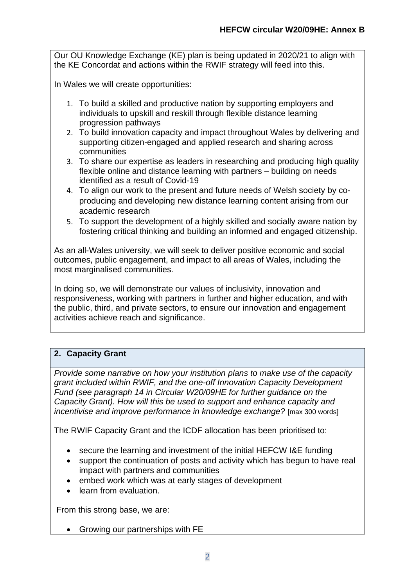Our OU Knowledge Exchange (KE) plan is being updated in 2020/21 to align with the KE Concordat and actions within the RWIF strategy will feed into this.

In Wales we will create opportunities:

- 1. To build a skilled and productive nation by supporting employers and individuals to upskill and reskill through flexible distance learning progression pathways
- 2. To build innovation capacity and impact throughout Wales by delivering and supporting citizen-engaged and applied research and sharing across communities
- 3. To share our expertise as leaders in researching and producing high quality flexible online and distance learning with partners – building on needs identified as a result of Covid-19
- 4. To align our work to the present and future needs of Welsh society by coproducing and developing new distance learning content arising from our academic research
- 5. To support the development of a highly skilled and socially aware nation by fostering critical thinking and building an informed and engaged citizenship.

As an all-Wales university, we will seek to deliver positive economic and social outcomes, public engagement, and impact to all areas of Wales, including the most marginalised communities.

In doing so, we will demonstrate our values of inclusivity, innovation and responsiveness, working with partners in further and higher education, and with the public, third, and private sectors, to ensure our innovation and engagement activities achieve reach and significance.

# **2. Capacity Grant**

*Provide some narrative on how your institution plans to make use of the capacity grant included within RWIF, and the one-off Innovation Capacity Development Fund (see paragraph 14 in Circular W20/09HE for further guidance on the Capacity Grant). How will this be used to support and enhance capacity and incentivise and improve performance in knowledge exchange?* [max 300 words]

The RWIF Capacity Grant and the ICDF allocation has been prioritised to:

- secure the learning and investment of the initial HEFCW I&E funding
- support the continuation of posts and activity which has begun to have real impact with partners and communities
- embed work which was at early stages of development
- learn from evaluation.

From this strong base, we are:

• Growing our partnerships with FE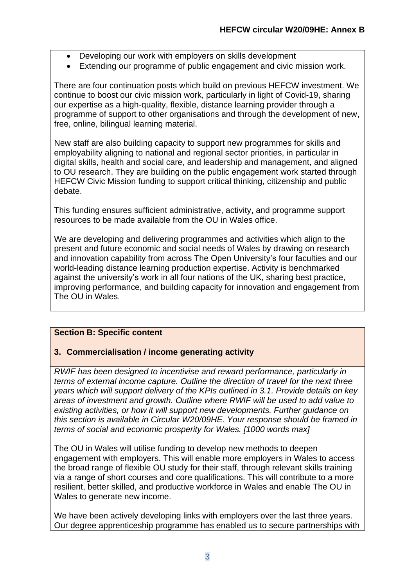- Developing our work with employers on skills development
- Extending our programme of public engagement and civic mission work.

There are four continuation posts which build on previous HEFCW investment. We continue to boost our civic mission work, particularly in light of Covid-19, sharing our expertise as a high-quality, flexible, distance learning provider through a programme of support to other organisations and through the development of new, free, online, bilingual learning material.

New staff are also building capacity to support new programmes for skills and employability aligning to national and regional sector priorities, in particular in digital skills, health and social care, and leadership and management, and aligned to OU research. They are building on the public engagement work started through HEFCW Civic Mission funding to support critical thinking, citizenship and public debate.

This funding ensures sufficient administrative, activity, and programme support resources to be made available from the OU in Wales office.

We are developing and delivering programmes and activities which align to the present and future economic and social needs of Wales by drawing on research and innovation capability from across The Open University's four faculties and our world-leading distance learning production expertise. Activity is benchmarked against the university's work in all four nations of the UK, sharing best practice, improving performance, and building capacity for innovation and engagement from The OU in Wales.

# **Section B: Specific content**

# **3. Commercialisation / income generating activity**

*RWIF has been designed to incentivise and reward performance, particularly in terms of external income capture. Outline the direction of travel for the next three years which will support delivery of the KPIs outlined in 3.1. Provide details on key areas of investment and growth. Outline where RWIF will be used to add value to existing activities, or how it will support new developments. Further guidance on this section is available in Circular W20/09HE. Your response should be framed in terms of social and economic prosperity for Wales. [1000 words max]*

The OU in Wales will utilise funding to develop new methods to deepen engagement with employers. This will enable more employers in Wales to access the broad range of flexible OU study for their staff, through relevant skills training via a range of short courses and core qualifications. This will contribute to a more resilient, better skilled, and productive workforce in Wales and enable The OU in Wales to generate new income.

We have been actively developing links with employers over the last three years. Our degree apprenticeship programme has enabled us to secure partnerships with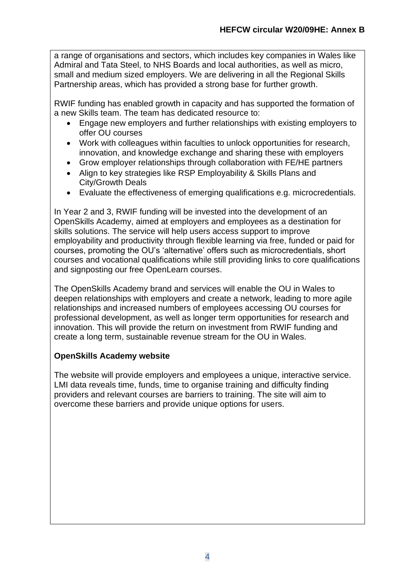a range of organisations and sectors, which includes key companies in Wales like Admiral and Tata Steel, to NHS Boards and local authorities, as well as micro, small and medium sized employers. We are delivering in all the Regional Skills Partnership areas, which has provided a strong base for further growth.

RWIF funding has enabled growth in capacity and has supported the formation of a new Skills team. The team has dedicated resource to:

- Engage new employers and further relationships with existing employers to offer OU courses
- Work with colleagues within faculties to unlock opportunities for research, innovation, and knowledge exchange and sharing these with employers
- Grow employer relationships through collaboration with FE/HE partners
- Align to key strategies like RSP Employability & Skills Plans and City/Growth Deals
- Evaluate the effectiveness of emerging qualifications e.g. microcredentials.

In Year 2 and 3, RWIF funding will be invested into the development of an OpenSkills Academy, aimed at employers and employees as a destination for skills solutions. The service will help users access support to improve employability and productivity through flexible learning via free, funded or paid for courses, promoting the OU's 'alternative' offers such as microcredentials, short courses and vocational qualifications while still providing links to core qualifications and signposting our free OpenLearn courses.

The OpenSkills Academy brand and services will enable the OU in Wales to deepen relationships with employers and create a network, leading to more agile relationships and increased numbers of employees accessing OU courses for professional development, as well as longer term opportunities for research and innovation. This will provide the return on investment from RWIF funding and create a long term, sustainable revenue stream for the OU in Wales.

# **OpenSkills Academy website**

The website will provide employers and employees a unique, interactive service. LMI data reveals time, funds, time to organise training and difficulty finding providers and relevant courses are barriers to training. The site will aim to overcome these barriers and provide unique options for users.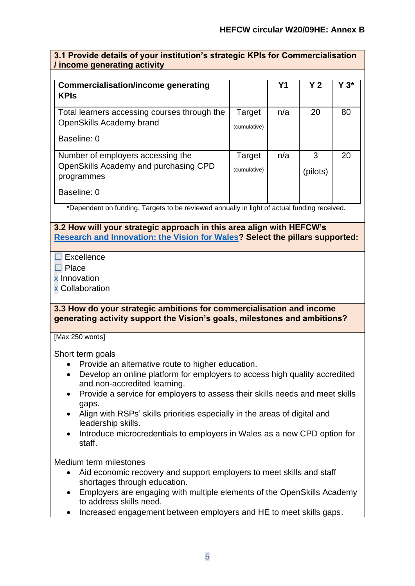| / income generating activity                                                                            |                        |                |                |         |
|---------------------------------------------------------------------------------------------------------|------------------------|----------------|----------------|---------|
| <b>Commercialisation/income generating</b><br><b>KPIs</b>                                               |                        | Y <sub>1</sub> | Y <sub>2</sub> | $Y 3^*$ |
| Total learners accessing courses through the<br>OpenSkills Academy brand<br>Baseline: 0                 | Target<br>(cumulative) | n/a            | 20             | 80      |
| Number of employers accessing the<br>OpenSkills Academy and purchasing CPD<br>programmes<br>Baseline: 0 | Target<br>(cumulative) | n/a            | 3<br>(pilots)  | 20      |

# **3.1 Provide details of your institution's strategic KPIs for Commercialisation**

\*Dependent on funding. Targets to be reviewed annually in light of actual funding received.

# **3.2 How will your strategic approach in this area align with HEFCW's [Research and Innovation: the Vision for Wales?](https://www.hefcw.ac.uk/documents/publications/hefcw_reports_and_statistics/Research%20and%20Innovation%20the%20vision%20for%20Wales%20English.pdf) Select the pillars supported:**

#### $□$  Excellence

☐ Place

x Innovation

x Collaboration

# **3.3 How do your strategic ambitions for commercialisation and income generating activity support the Vision's goals, milestones and ambitions?**

[Max 250 words]

Short term goals

- Provide an alternative route to higher education.
- Develop an online platform for employers to access high quality accredited and non-accredited learning.
- Provide a service for employers to assess their skills needs and meet skills gaps.
- Align with RSPs' skills priorities especially in the areas of digital and leadership skills.
- Introduce microcredentials to employers in Wales as a new CPD option for staff.

Medium term milestones

- Aid economic recovery and support employers to meet skills and staff shortages through education.
- Employers are engaging with multiple elements of the OpenSkills Academy to address skills need.
- Increased engagement between employers and HE to meet skills gaps.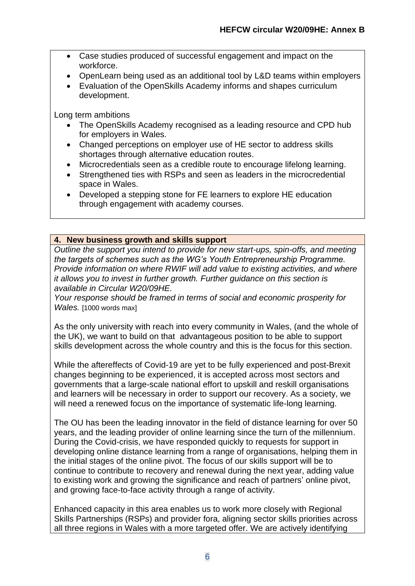- Case studies produced of successful engagement and impact on the workforce.
- OpenLearn being used as an additional tool by L&D teams within employers
- Evaluation of the OpenSkills Academy informs and shapes curriculum development.

Long term ambitions

- The OpenSkills Academy recognised as a leading resource and CPD hub for employers in Wales.
- Changed perceptions on employer use of HE sector to address skills shortages through alternative education routes.
- Microcredentials seen as a credible route to encourage lifelong learning.
- Strengthened ties with RSPs and seen as leaders in the microcredential space in Wales.
- Developed a stepping stone for FE learners to explore HE education through engagement with academy courses.

#### **4. New business growth and skills support**

*Outline the support you intend to provide for new start-ups, spin-offs, and meeting the targets of schemes such as the WG's Youth Entrepreneurship Programme. Provide information on where RWIF will add value to existing activities, and where it allows you to invest in further growth. Further guidance on this section is available in Circular W20/09HE.*

*Your response should be framed in terms of social and economic prosperity for Wales.* [1000 words max]

As the only university with reach into every community in Wales, (and the whole of the UK), we want to build on that advantageous position to be able to support skills development across the whole country and this is the focus for this section.

While the aftereffects of Covid-19 are yet to be fully experienced and post-Brexit changes beginning to be experienced, it is accepted across most sectors and governments that a large-scale national effort to upskill and reskill organisations and learners will be necessary in order to support our recovery. As a society, we will need a renewed focus on the importance of systematic life-long learning.

The OU has been the leading innovator in the field of distance learning for over 50 years, and the leading provider of online learning since the turn of the millennium. During the Covid-crisis, we have responded quickly to requests for support in developing online distance learning from a range of organisations, helping them in the initial stages of the online pivot. The focus of our skills support will be to continue to contribute to recovery and renewal during the next year, adding value to existing work and growing the significance and reach of partners' online pivot, and growing face-to-face activity through a range of activity.

Enhanced capacity in this area enables us to work more closely with Regional Skills Partnerships (RSPs) and provider fora, aligning sector skills priorities across all three regions in Wales with a more targeted offer. We are actively identifying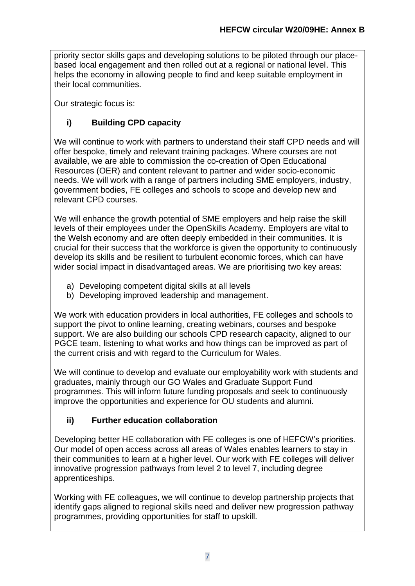priority sector skills gaps and developing solutions to be piloted through our placebased local engagement and then rolled out at a regional or national level. This helps the economy in allowing people to find and keep suitable employment in their local communities.

Our strategic focus is:

# **i) Building CPD capacity**

We will continue to work with partners to understand their staff CPD needs and will offer bespoke, timely and relevant training packages. Where courses are not available, we are able to commission the co-creation of Open Educational Resources (OER) and content relevant to partner and wider socio-economic needs. We will work with a range of partners including SME employers, industry, government bodies, FE colleges and schools to scope and develop new and relevant CPD courses.

We will enhance the growth potential of SME employers and help raise the skill levels of their employees under the OpenSkills Academy. Employers are vital to the Welsh economy and are often deeply embedded in their communities. It is crucial for their success that the workforce is given the opportunity to continuously develop its skills and be resilient to turbulent economic forces, which can have wider social impact in disadvantaged areas. We are prioritising two key areas:

- a) Developing competent digital skills at all levels
- b) Developing improved leadership and management.

We work with education providers in local authorities, FE colleges and schools to support the pivot to online learning, creating webinars, courses and bespoke support. We are also building our schools CPD research capacity, aligned to our PGCE team, listening to what works and how things can be improved as part of the current crisis and with regard to the Curriculum for Wales.

We will continue to develop and evaluate our employability work with students and graduates, mainly through our GO Wales and Graduate Support Fund programmes. This will inform future funding proposals and seek to continuously improve the opportunities and experience for OU students and alumni.

# **ii) Further education collaboration**

Developing better HE collaboration with FE colleges is one of HEFCW's priorities. Our model of open access across all areas of Wales enables learners to stay in their communities to learn at a higher level. Our work with FE colleges will deliver innovative progression pathways from level 2 to level 7, including degree apprenticeships.

Working with FE colleagues, we will continue to develop partnership projects that identify gaps aligned to regional skills need and deliver new progression pathway programmes, providing opportunities for staff to upskill.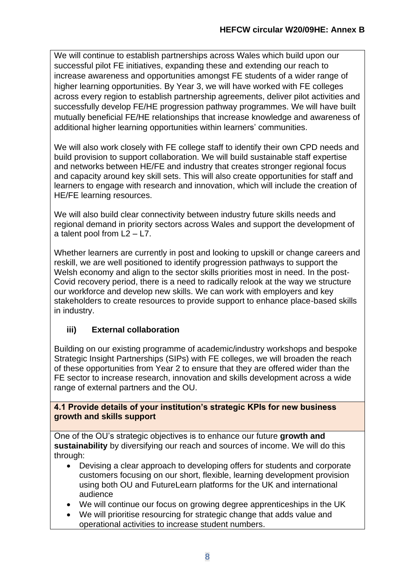We will continue to establish partnerships across Wales which build upon our successful pilot FE initiatives, expanding these and extending our reach to increase awareness and opportunities amongst FE students of a wider range of higher learning opportunities. By Year 3, we will have worked with FE colleges across every region to establish partnership agreements, deliver pilot activities and successfully develop FE/HE progression pathway programmes. We will have built mutually beneficial FE/HE relationships that increase knowledge and awareness of additional higher learning opportunities within learners' communities.

We will also work closely with FE college staff to identify their own CPD needs and build provision to support collaboration. We will build sustainable staff expertise and networks between HE/FE and industry that creates stronger regional focus and capacity around key skill sets. This will also create opportunities for staff and learners to engage with research and innovation, which will include the creation of HE/FE learning resources.

We will also build clear connectivity between industry future skills needs and regional demand in priority sectors across Wales and support the development of a talent pool from L2 – L7.

Whether learners are currently in post and looking to upskill or change careers and reskill, we are well positioned to identify progression pathways to support the Welsh economy and align to the sector skills priorities most in need. In the post-Covid recovery period, there is a need to radically relook at the way we structure our workforce and develop new skills. We can work with employers and key stakeholders to create resources to provide support to enhance place-based skills in industry.

# **iii) External collaboration**

Building on our existing programme of academic/industry workshops and bespoke Strategic Insight Partnerships (SIPs) with FE colleges, we will broaden the reach of these opportunities from Year 2 to ensure that they are offered wider than the FE sector to increase research, innovation and skills development across a wide range of external partners and the OU.

#### **4.1 Provide details of your institution's strategic KPIs for new business growth and skills support**

One of the OU's strategic objectives is to enhance our future **growth and sustainability** by diversifying our reach and sources of income. We will do this through:

- Devising a clear approach to developing offers for students and corporate customers focusing on our short, flexible, learning development provision using both OU and FutureLearn platforms for the UK and international audience
- We will continue our focus on growing degree apprenticeships in the UK
- We will prioritise resourcing for strategic change that adds value and operational activities to increase student numbers.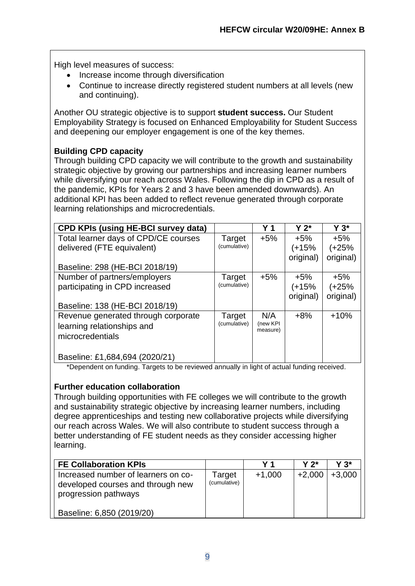High level measures of success:

- Increase income through diversification
- Continue to increase directly registered student numbers at all levels (new and continuing).

Another OU strategic objective is to support **student success.** Our Student Employability Strategy is focused on Enhanced Employability for Student Success and deepening our employer engagement is one of the key themes.

# **Building CPD capacity**

Through building CPD capacity we will contribute to the growth and sustainability strategic objective by growing our partnerships and increasing learner numbers while diversifying our reach across Wales. Following the dip in CPD as a result of the pandemic, KPIs for Years 2 and 3 have been amended downwards). An additional KPI has been added to reflect revenue generated through corporate learning relationships and microcredentials.

| <b>CPD KPIs (using HE-BCI survey data)</b> |              | Y 1                  | $Y 2^*$   | $Y 3^*$   |
|--------------------------------------------|--------------|----------------------|-----------|-----------|
| Total learner days of CPD/CE courses       | Target       | $+5%$                | $+5%$     | $+5%$     |
| delivered (FTE equivalent)                 | (cumulative) |                      | $(+15%$   | $(+25%$   |
|                                            |              |                      | original) | original) |
| Baseline: 298 (HE-BCI 2018/19)             |              |                      |           |           |
| Number of partners/employers               | Target       | $+5\%$               | +5%       | +5%       |
| participating in CPD increased             | (cumulative) |                      | $(+15%$   | (+25%     |
|                                            |              |                      | original) | original) |
| Baseline: 138 (HE-BCI 2018/19)             |              |                      |           |           |
| Revenue generated through corporate        | Target       | N/A                  | $+8%$     | $+10%$    |
| learning relationships and                 | (cumulative) | (new KPI<br>measure) |           |           |
| microcredentials                           |              |                      |           |           |
|                                            |              |                      |           |           |
| Baseline: £1,684,694 (2020/21)             |              |                      |           |           |

\*Dependent on funding. Targets to be reviewed annually in light of actual funding received.

# **Further education collaboration**

Through building opportunities with FE colleges we will contribute to the growth and sustainability strategic objective by increasing learner numbers, including degree apprenticeships and testing new collaborative projects while diversifying our reach across Wales. We will also contribute to student success through a better understanding of FE student needs as they consider accessing higher learning.

| <b>FE Collaboration KPIs</b>                                                                     |                        | Y 1      | $Y 2^*$  | Y 3*     |
|--------------------------------------------------------------------------------------------------|------------------------|----------|----------|----------|
| Increased number of learners on co-<br>developed courses and through new<br>progression pathways | Target<br>(cumulative) | $+1,000$ | $+2,000$ | $+3,000$ |
| Baseline: 6,850 (2019/20)                                                                        |                        |          |          |          |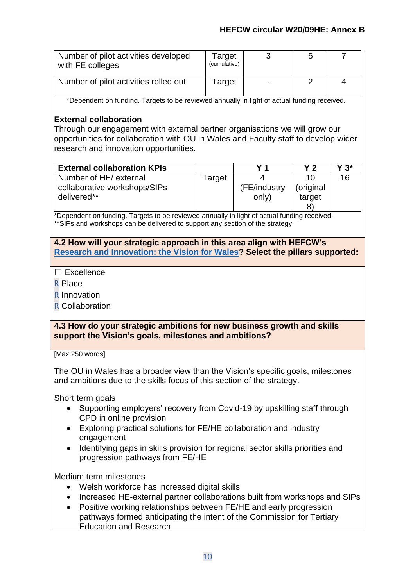| Number of pilot activities developed<br>with FE colleges | Target<br>(cumulative) | b |  |
|----------------------------------------------------------|------------------------|---|--|
| Number of pilot activities rolled out                    | Target                 |   |  |

\*Dependent on funding. Targets to be reviewed annually in light of actual funding received.

# **External collaboration**

Through our engagement with external partner organisations we will grow our opportunities for collaboration with OU in Wales and Faculty staff to develop wider research and innovation opportunities.

| <b>External collaboration KPIs</b> |        | V 1          | v ว       | Y 3* |
|------------------------------------|--------|--------------|-----------|------|
| Number of HE/ external             | Target |              | 10        | 16   |
| collaborative workshops/SIPs       |        | (FE/industry | (original |      |
| delivered**                        |        | only)        | target    |      |
|                                    |        |              |           |      |

\*Dependent on funding. Targets to be reviewed annually in light of actual funding received. \*\*SIPs and workshops can be delivered to support any section of the strategy

## **4.2 How will your strategic approach in this area align with HEFCW's [Research and Innovation: the Vision for Wales?](https://www.hefcw.ac.uk/documents/publications/hefcw_reports_and_statistics/Research%20and%20Innovation%20the%20vision%20for%20Wales%20English.pdf) Select the pillars supported:**

- ☐ Excellence
- R Place
- R Innovation
- R Collaboration

#### **4.3 How do your strategic ambitions for new business growth and skills support the Vision's goals, milestones and ambitions?**

[Max 250 words]

The OU in Wales has a broader view than the Vision's specific goals, milestones and ambitions due to the skills focus of this section of the strategy.

Short term goals

- Supporting employers' recovery from Covid-19 by upskilling staff through CPD in online provision
- Exploring practical solutions for FE/HE collaboration and industry engagement
- Identifying gaps in skills provision for regional sector skills priorities and progression pathways from FE/HE

Medium term milestones

- Welsh workforce has increased digital skills
- Increased HE-external partner collaborations built from workshops and SIPs
- Positive working relationships between FE/HE and early progression pathways formed anticipating the intent of the Commission for Tertiary Education and Research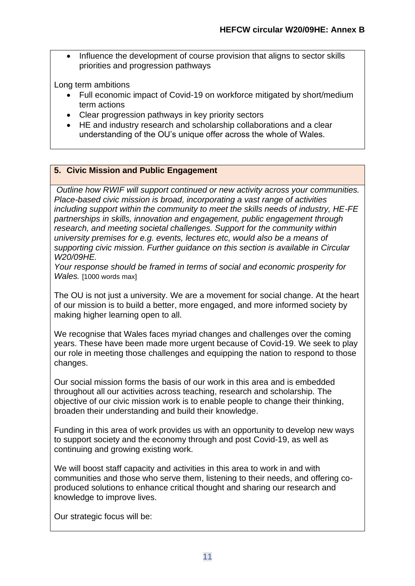• Influence the development of course provision that aligns to sector skills priorities and progression pathways

Long term ambitions

- Full economic impact of Covid-19 on workforce mitigated by short/medium term actions
- Clear progression pathways in key priority sectors
- HE and industry research and scholarship collaborations and a clear understanding of the OU's unique offer across the whole of Wales.

# **5. Civic Mission and Public Engagement**

*Outline how RWIF will support continued or new activity across your communities. Place-based civic mission is broad, incorporating a vast range of activities including support within the community to meet the skills needs of industry, HE-FE partnerships in skills, innovation and engagement, public engagement through research, and meeting societal challenges. Support for the community within university premises for e.g. events, lectures etc, would also be a means of supporting civic mission. Further guidance on this section is available in Circular W20/09HE.*

*Your response should be framed in terms of social and economic prosperity for Wales.* [1000 words max]

The OU is not just a university. We are a movement for social change. At the heart of our mission is to build a better, more engaged, and more informed society by making higher learning open to all.

We recognise that Wales faces myriad changes and challenges over the coming years. These have been made more urgent because of Covid-19. We seek to play our role in meeting those challenges and equipping the nation to respond to those changes.

Our social mission forms the basis of our work in this area and is embedded throughout all our activities across teaching, research and scholarship. The objective of our civic mission work is to enable people to change their thinking, broaden their understanding and build their knowledge.

Funding in this area of work provides us with an opportunity to develop new ways to support society and the economy through and post Covid-19, as well as continuing and growing existing work.

We will boost staff capacity and activities in this area to work in and with communities and those who serve them, listening to their needs, and offering coproduced solutions to enhance critical thought and sharing our research and knowledge to improve lives.

Our strategic focus will be: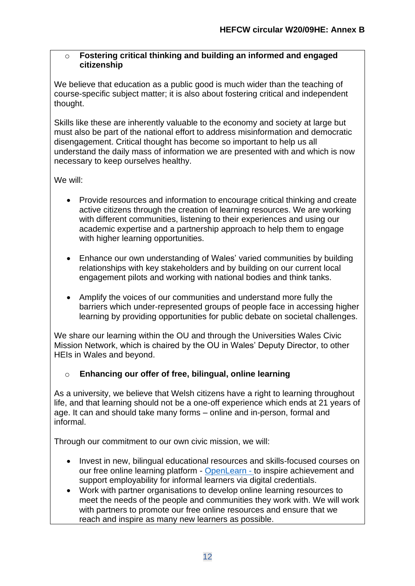### o **Fostering critical thinking and building an informed and engaged citizenship**

We believe that education as a public good is much wider than the teaching of course-specific subject matter; it is also about fostering critical and independent thought.

Skills like these are inherently valuable to the economy and society at large but must also be part of the national effort to address misinformation and democratic disengagement. Critical thought has become so important to help us all understand the daily mass of information we are presented with and which is now necessary to keep ourselves healthy.

We will:

- Provide resources and information to encourage critical thinking and create active citizens through the creation of learning resources. We are working with different communities, listening to their experiences and using our academic expertise and a partnership approach to help them to engage with higher learning opportunities.
- Enhance our own understanding of Wales' varied communities by building relationships with key stakeholders and by building on our current local engagement pilots and working with national bodies and think tanks.
- Amplify the voices of our communities and understand more fully the barriers which under-represented groups of people face in accessing higher learning by providing opportunities for public debate on societal challenges.

We share our learning within the OU and through the Universities Wales Civic Mission Network, which is chaired by the OU in Wales' Deputy Director, to other HEIs in Wales and beyond.

# o **Enhancing our offer of free, bilingual, online learning**

As a university, we believe that Welsh citizens have a right to learning throughout life, and that learning should not be a one-off experience which ends at 21 years of age. It can and should take many forms – online and in-person, formal and informal.

Through our commitment to our own civic mission, we will:

- Invest in new, bilingual educational resources and skills-focused courses on our free online learning platform - [OpenLearn](https://www.open.edu/openlearn/openlearn-wales) - to inspire achievement and support employability for informal learners via digital credentials.
- Work with partner organisations to develop online learning resources to meet the needs of the people and communities they work with. We will work with partners to promote our free online resources and ensure that we reach and inspire as many new learners as possible.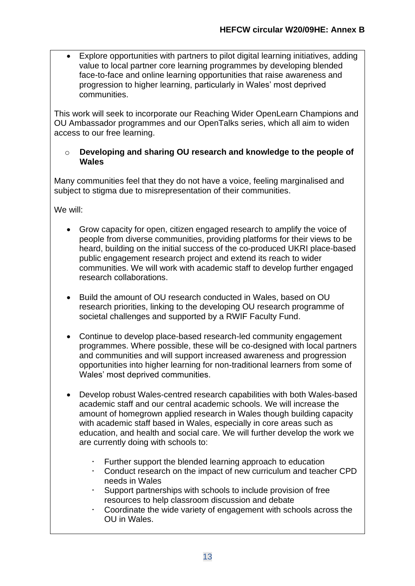• Explore opportunities with partners to pilot digital learning initiatives, adding value to local partner core learning programmes by developing blended face-to-face and online learning opportunities that raise awareness and progression to higher learning, particularly in Wales' most deprived communities.

This work will seek to incorporate our Reaching Wider OpenLearn Champions and OU Ambassador programmes and our OpenTalks series, which all aim to widen access to our free learning.

#### o **Developing and sharing OU research and knowledge to the people of Wales**

Many communities feel that they do not have a voice, feeling marginalised and subject to stigma due to misrepresentation of their communities.

We will:

- Grow capacity for open, citizen engaged research to amplify the voice of people from diverse communities, providing platforms for their views to be heard, building on the initial success of the co-produced UKRI place-based public engagement research project and extend its reach to wider communities. We will work with academic staff to develop further engaged research collaborations.
- Build the amount of OU research conducted in Wales, based on OU research priorities, linking to the developing OU research programme of societal challenges and supported by a RWIF Faculty Fund.
- Continue to develop place-based research-led community engagement programmes. Where possible, these will be co-designed with local partners and communities and will support increased awareness and progression opportunities into higher learning for non-traditional learners from some of Wales' most deprived communities.
- Develop robust Wales-centred research capabilities with both Wales-based academic staff and our central academic schools. We will increase the amount of homegrown applied research in Wales though building capacity with academic staff based in Wales, especially in core areas such as education, and health and social care. We will further develop the work we are currently doing with schools to:
	- Further support the blended learning approach to education
	- Conduct research on the impact of new curriculum and teacher CPD needs in Wales
	- $\cdot$  Support partnerships with schools to include provision of free resources to help classroom discussion and debate
	- Coordinate the wide variety of engagement with schools across the OU in Wales.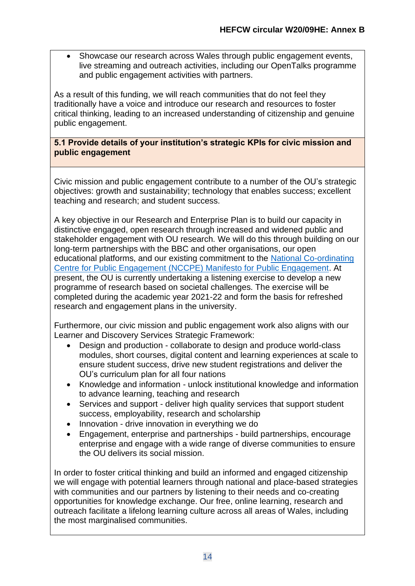• Showcase our research across Wales through public engagement events, live streaming and outreach activities, including our OpenTalks programme and public engagement activities with partners.

As a result of this funding, we will reach communities that do not feel they traditionally have a voice and introduce our research and resources to foster critical thinking, leading to an increased understanding of citizenship and genuine public engagement.

**5.1 Provide details of your institution's strategic KPIs for civic mission and public engagement**

Civic mission and public engagement contribute to a number of the OU's strategic objectives: growth and sustainability; technology that enables success; excellent teaching and research; and student success.

A key objective in our Research and Enterprise Plan is to build our capacity in distinctive engaged, open research through increased and widened public and stakeholder engagement with OU research. We will do this through building on our long-term partnerships with the BBC and other organisations, our open educational platforms, and our existing commitment to the [National Co-ordinating](https://www.publicengagement.ac.uk/support-engagement/strategy-and-planning/manifesto-public-engagement/manifesto-signatories)  [Centre for Public Engagement \(NCCPE\) Manifesto for Public Engagement.](https://www.publicengagement.ac.uk/support-engagement/strategy-and-planning/manifesto-public-engagement/manifesto-signatories) At present, the OU is currently undertaking a listening exercise to develop a new programme of research based on societal challenges. The exercise will be completed during the academic year 2021-22 and form the basis for refreshed research and engagement plans in the university.

Furthermore, our civic mission and public engagement work also aligns with our Learner and Discovery Services Strategic Framework:

- Design and production collaborate to design and produce world-class modules, short courses, digital content and learning experiences at scale to ensure student success, drive new student registrations and deliver the OU's curriculum plan for all four nations
- Knowledge and information unlock institutional knowledge and information to advance learning, teaching and research
- Services and support deliver high quality services that support student success, employability, research and scholarship
- Innovation drive innovation in everything we do
- Engagement, enterprise and partnerships build partnerships, encourage enterprise and engage with a wide range of diverse communities to ensure the OU delivers its social mission.

In order to foster critical thinking and build an informed and engaged citizenship we will engage with potential learners through national and place-based strategies with communities and our partners by listening to their needs and co-creating opportunities for knowledge exchange. Our free, online learning, research and outreach facilitate a lifelong learning culture across all areas of Wales, including the most marginalised communities.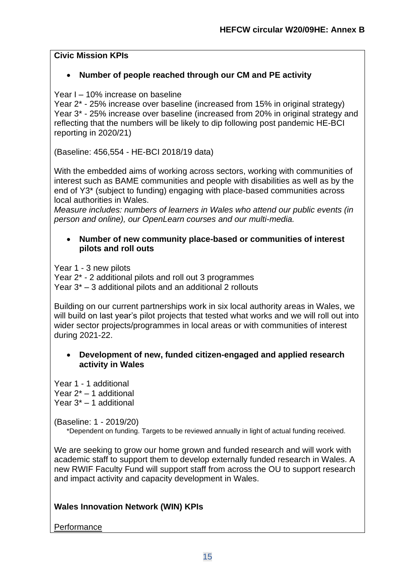# **Civic Mission KPIs**

# • **Number of people reached through our CM and PE activity**

Year I – 10% increase on baseline

Year 2\* - 25% increase over baseline (increased from 15% in original strategy) Year 3\* - 25% increase over baseline (increased from 20% in original strategy and reflecting that the numbers will be likely to dip following post pandemic HE-BCI reporting in 2020/21)

(Baseline: 456,554 - HE-BCI 2018/19 data)

With the embedded aims of working across sectors, working with communities of interest such as BAME communities and people with disabilities as well as by the end of Y3\* (subject to funding) engaging with place-based communities across local authorities in Wales.

*Measure includes: numbers of learners in Wales who attend our public events (in person and online), our OpenLearn courses and our multi-media.*

#### • **Number of new community place-based or communities of interest pilots and roll outs**

Year 1 - 3 new pilots

Year 2\* - 2 additional pilots and roll out 3 programmes Year 3\* – 3 additional pilots and an additional 2 rollouts

Building on our current partnerships work in six local authority areas in Wales, we will build on last year's pilot projects that tested what works and we will roll out into wider sector projects/programmes in local areas or with communities of interest during 2021-22.

#### • **Development of new, funded citizen-engaged and applied research activity in Wales**

Year 1 - 1 additional Year 2\* – 1 additional Year 3\* – 1 additional

(Baseline: 1 - 2019/20)

\*Dependent on funding. Targets to be reviewed annually in light of actual funding received.

We are seeking to grow our home grown and funded research and will work with academic staff to support them to develop externally funded research in Wales. A new RWIF Faculty Fund will support staff from across the OU to support research and impact activity and capacity development in Wales.

# **Wales Innovation Network (WIN) KPIs**

# **Performance**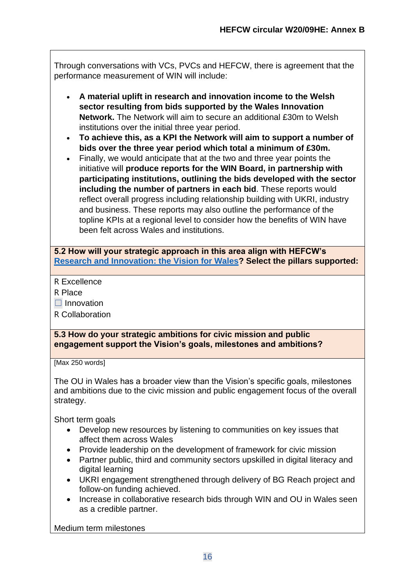Through conversations with VCs, PVCs and HEFCW, there is agreement that the performance measurement of WIN will include:

- **A material uplift in research and innovation income to the Welsh sector resulting from bids supported by the Wales Innovation Network.** The Network will aim to secure an additional £30m to Welsh institutions over the initial three year period.
- **To achieve this, as a KPI the Network will aim to support a number of bids over the three year period which total a minimum of £30m.**
- Finally, we would anticipate that at the two and three year points the initiative will **produce reports for the WIN Board, in partnership with participating institutions, outlining the bids developed with the sector including the number of partners in each bid**. These reports would reflect overall progress including relationship building with UKRI, industry and business. These reports may also outline the performance of the topline KPIs at a regional level to consider how the benefits of WIN have been felt across Wales and institutions.

**5.2 How will your strategic approach in this area align with HEFCW's [Research and Innovation: the Vision for Wales?](https://www.hefcw.ac.uk/documents/publications/hefcw_reports_and_statistics/Research%20and%20Innovation%20the%20vision%20for%20Wales%20English.pdf) Select the pillars supported:**

R Excellence

R Place

 $\Box$  Innovation

R Collaboration

**5.3 How do your strategic ambitions for civic mission and public engagement support the Vision's goals, milestones and ambitions?**

[Max 250 words]

The OU in Wales has a broader view than the Vision's specific goals, milestones and ambitions due to the civic mission and public engagement focus of the overall strategy.

Short term goals

- Develop new resources by listening to communities on key issues that affect them across Wales
- Provide leadership on the development of framework for civic mission
- Partner public, third and community sectors upskilled in digital literacy and digital learning
- UKRI engagement strengthened through delivery of BG Reach project and follow-on funding achieved.
- Increase in collaborative research bids through WIN and OU in Wales seen as a credible partner.

Medium term milestones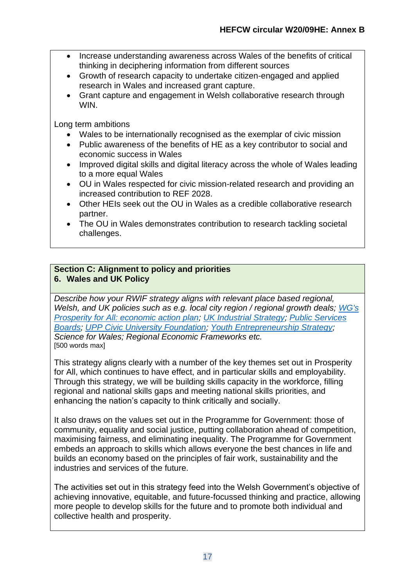- Increase understanding awareness across Wales of the benefits of critical thinking in deciphering information from different sources
- Growth of research capacity to undertake citizen-engaged and applied research in Wales and increased grant capture.
- Grant capture and engagement in Welsh collaborative research through WIN.

Long term ambitions

- Wales to be internationally recognised as the exemplar of civic mission
- Public awareness of the benefits of HE as a key contributor to social and economic success in Wales
- Improved digital skills and digital literacy across the whole of Wales leading to a more equal Wales
- OU in Wales respected for civic mission-related research and providing an increased contribution to REF 2028.
- Other HEIs seek out the OU in Wales as a credible collaborative research partner.
- The OU in Wales demonstrates contribution to research tackling societal challenges.

#### **Section C: Alignment to policy and priorities 6. Wales and UK Policy**

*Describe how your RWIF strategy aligns with relevant place based regional, Welsh, and UK policies such as e.g. local city region / regional growth deals; [WG's](https://gov.wales/prosperity-all-economic-action-plan)  [Prosperity for All: economic action plan;](https://gov.wales/prosperity-all-economic-action-plan) [UK Industrial Strategy;](https://www.gov.uk/government/topical-events/the-uks-industrial-strategy) [Public Services](https://gov.wales/public-services-boards)  [Boards;](https://gov.wales/public-services-boards) [UPP Civic University Foundation;](https://upp-foundation.org/civic-university-commission/) [Youth Entrepreneurship Strategy;](https://businesswales.gov.wales/bigideas/welcome-partners-area/youth-entrepreneurship-strategy) Science for Wales; Regional Economic Frameworks etc.* [500 words max]

This strategy aligns clearly with a number of the key themes set out in Prosperity for All, which continues to have effect, and in particular skills and employability. Through this strategy, we will be building skills capacity in the workforce, filling regional and national skills gaps and meeting national skills priorities, and enhancing the nation's capacity to think critically and socially.

It also draws on the values set out in the Programme for Government: those of community, equality and social justice, putting collaboration ahead of competition, maximising fairness, and eliminating inequality. The Programme for Government embeds an approach to skills which allows everyone the best chances in life and builds an economy based on the principles of fair work, sustainability and the industries and services of the future.

The activities set out in this strategy feed into the Welsh Government's objective of achieving innovative, equitable, and future-focussed thinking and practice, allowing more people to develop skills for the future and to promote both individual and collective health and prosperity.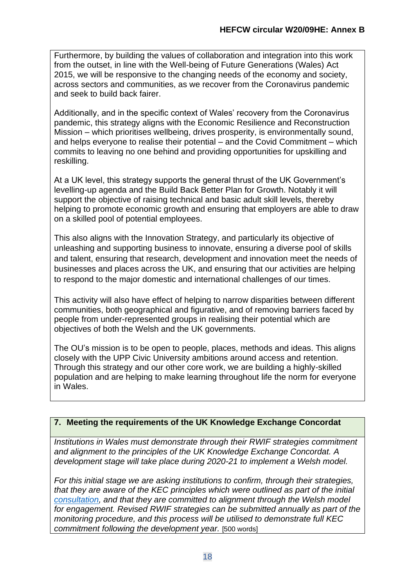Furthermore, by building the values of collaboration and integration into this work from the outset, in line with the Well-being of Future Generations (Wales) Act 2015, we will be responsive to the changing needs of the economy and society, across sectors and communities, as we recover from the Coronavirus pandemic and seek to build back fairer.

Additionally, and in the specific context of Wales' recovery from the Coronavirus pandemic, this strategy aligns with the Economic Resilience and Reconstruction Mission – which prioritises wellbeing, drives prosperity, is environmentally sound, and helps everyone to realise their potential – and the Covid Commitment – which commits to leaving no one behind and providing opportunities for upskilling and reskilling.

At a UK level, this strategy supports the general thrust of the UK Government's levelling-up agenda and the Build Back Better Plan for Growth. Notably it will support the objective of raising technical and basic adult skill levels, thereby helping to promote economic growth and ensuring that employers are able to draw on a skilled pool of potential employees.

This also aligns with the Innovation Strategy, and particularly its objective of unleashing and supporting business to innovate, ensuring a diverse pool of skills and talent, ensuring that research, development and innovation meet the needs of businesses and places across the UK, and ensuring that our activities are helping to respond to the major domestic and international challenges of our times.

This activity will also have effect of helping to narrow disparities between different communities, both geographical and figurative, and of removing barriers faced by people from under-represented groups in realising their potential which are objectives of both the Welsh and the UK governments.

The OU's mission is to be open to people, places, methods and ideas. This aligns closely with the UPP Civic University ambitions around access and retention. Through this strategy and our other core work, we are building a highly-skilled population and are helping to make learning throughout life the norm for everyone in Wales.

# **7. Meeting the requirements of the UK Knowledge Exchange Concordat**

*Institutions in Wales must demonstrate through their RWIF strategies commitment and alignment to the principles of the UK Knowledge Exchange Concordat. A development stage will take place during 2020-21 to implement a Welsh model.* 

*For this initial stage we are asking institutions to confirm, through their strategies, that they are aware of the KEC principles which were outlined as part of the initial [consultation,](https://www.universitiesuk.ac.uk/policy-and-analysis/reports/Pages/knowledge-exchange-concordat-consultation.aspx) and that they are committed to alignment through the Welsh model for engagement. Revised RWIF strategies can be submitted annually as part of the monitoring procedure, and this process will be utilised to demonstrate full KEC commitment following the development year.* [500 words]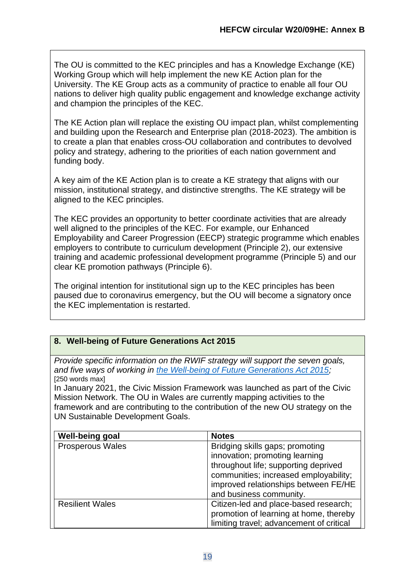The OU is committed to the KEC principles and has a Knowledge Exchange (KE) Working Group which will help implement the new KE Action plan for the University. The KE Group acts as a community of practice to enable all four OU nations to deliver high quality public engagement and knowledge exchange activity and champion the principles of the KEC.

The KE Action plan will replace the existing OU impact plan, whilst complementing and building upon the Research and Enterprise plan (2018-2023). The ambition is to create a plan that enables cross-OU collaboration and contributes to devolved policy and strategy, adhering to the priorities of each nation government and funding body.

A key aim of the KE Action plan is to create a KE strategy that aligns with our mission, institutional strategy, and distinctive strengths. The KE strategy will be aligned to the KEC principles.

The KEC provides an opportunity to better coordinate activities that are already well aligned to the principles of the KEC. For example, our Enhanced Employability and Career Progression (EECP) strategic programme which enables employers to contribute to curriculum development (Principle 2), our extensive training and academic professional development programme (Principle 5) and our clear KE promotion pathways (Principle 6).

The original intention for institutional sign up to the KEC principles has been paused due to coronavirus emergency, but the OU will become a signatory once the KEC implementation is restarted.

# **8. Well-being of Future Generations Act 2015**

*Provide specific information on the RWIF strategy will support the seven goals, and five ways of working in [the Well-being of Future Generations Act 2015;](https://futuregenerations.wales/about-us/future-generations-act/)* [250 words max]

In January 2021, the Civic Mission Framework was launched as part of the Civic Mission Network. The OU in Wales are currently mapping activities to the framework and are contributing to the contribution of the new OU strategy on the UN Sustainable Development Goals.

| <b>Well-being goal</b>  | <b>Notes</b>                             |
|-------------------------|------------------------------------------|
| <b>Prosperous Wales</b> | Bridging skills gaps; promoting          |
|                         | innovation; promoting learning           |
|                         | throughout life; supporting deprived     |
|                         | communities; increased employability;    |
|                         | improved relationships between FE/HE     |
|                         | and business community.                  |
| <b>Resilient Wales</b>  | Citizen-led and place-based research;    |
|                         | promotion of learning at home, thereby   |
|                         | limiting travel; advancement of critical |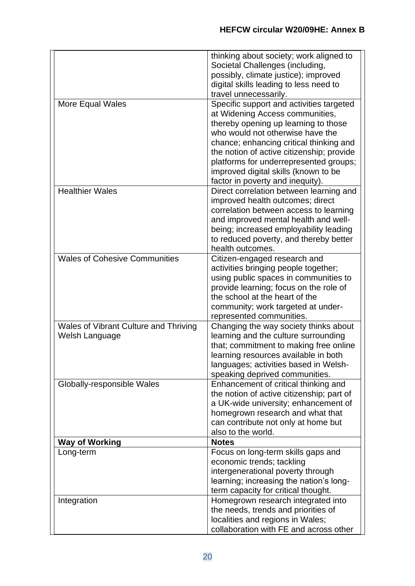|                                       | thinking about society; work aligned to                                    |
|---------------------------------------|----------------------------------------------------------------------------|
|                                       | Societal Challenges (including,                                            |
|                                       | possibly, climate justice); improved                                       |
|                                       | digital skills leading to less need to                                     |
|                                       | travel unnecessarily.                                                      |
| More Equal Wales                      | Specific support and activities targeted                                   |
|                                       | at Widening Access communities,                                            |
|                                       | thereby opening up learning to those                                       |
|                                       | who would not otherwise have the                                           |
|                                       | chance; enhancing critical thinking and                                    |
|                                       | the notion of active citizenship; provide                                  |
|                                       | platforms for underrepresented groups;                                     |
|                                       | improved digital skills (known to be                                       |
|                                       | factor in poverty and inequity).                                           |
| <b>Healthier Wales</b>                | Direct correlation between learning and                                    |
|                                       | improved health outcomes; direct                                           |
|                                       | correlation between access to learning                                     |
|                                       | and improved mental health and well-                                       |
|                                       | being; increased employability leading                                     |
|                                       | to reduced poverty, and thereby better                                     |
|                                       | health outcomes.                                                           |
| <b>Wales of Cohesive Communities</b>  | Citizen-engaged research and                                               |
|                                       | activities bringing people together;                                       |
|                                       | using public spaces in communities to                                      |
|                                       | provide learning; focus on the role of                                     |
|                                       | the school at the heart of the                                             |
|                                       | community; work targeted at under-                                         |
|                                       | represented communities.                                                   |
| Wales of Vibrant Culture and Thriving | Changing the way society thinks about                                      |
| Welsh Language                        | learning and the culture surrounding                                       |
|                                       | that; commitment to making free online                                     |
|                                       | learning resources available in both                                       |
|                                       | languages; activities based in Welsh-                                      |
|                                       | speaking deprived communities.                                             |
| Globally-responsible Wales            | Enhancement of critical thinking and                                       |
|                                       | the notion of active citizenship; part of                                  |
|                                       | a UK-wide university; enhancement of                                       |
|                                       | homegrown research and what that                                           |
|                                       | can contribute not only at home but                                        |
|                                       | also to the world.                                                         |
| <b>Way of Working</b>                 | <b>Notes</b>                                                               |
| Long-term                             | Focus on long-term skills gaps and                                         |
|                                       | economic trends; tackling                                                  |
|                                       | intergenerational poverty through                                          |
|                                       | learning; increasing the nation's long-                                    |
|                                       | term capacity for critical thought.                                        |
| Integration                           | Homegrown research integrated into                                         |
|                                       | the needs, trends and priorities of                                        |
|                                       | localities and regions in Wales;<br>collaboration with FE and across other |
|                                       |                                                                            |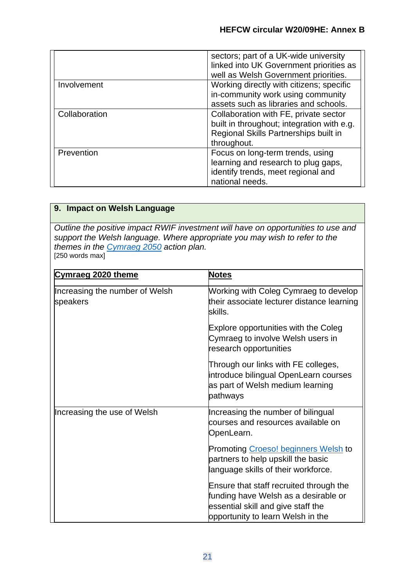|               | sectors; part of a UK-wide university<br>linked into UK Government priorities as<br>well as Welsh Government priorities.                    |
|---------------|---------------------------------------------------------------------------------------------------------------------------------------------|
| Involvement   | Working directly with citizens; specific<br>in-community work using community<br>assets such as libraries and schools.                      |
| Collaboration | Collaboration with FE, private sector<br>built in throughout; integration with e.g.<br>Regional Skills Partnerships built in<br>throughout. |
| Prevention    | Focus on long-term trends, using<br>learning and research to plug gaps,<br>identify trends, meet regional and<br>national needs.            |

# **9. Impact on Welsh Language**

*Outline the positive impact RWIF investment will have on opportunities to use and support the Welsh language. Where appropriate you may wish to refer to the themes in the [Cymraeg 2050](https://gov.wales/cymraeg-2050-welsh-language-strategy-action-plan-2019-2020) action plan.* [250 words max]

| Cymraeg 2020 theme                         | <b>Notes</b>                                                                                                                 |
|--------------------------------------------|------------------------------------------------------------------------------------------------------------------------------|
| Increasing the number of Welsh<br>speakers | Working with Coleg Cymraeg to develop<br>their associate lecturer distance learning<br>skills.                               |
|                                            | Explore opportunities with the Coleg<br>Cymraeg to involve Welsh users in<br>research opportunities                          |
|                                            | Through our links with FE colleges,<br>introduce bilingual OpenLearn courses<br>as part of Welsh medium learning<br>pathways |
| Increasing the use of Welsh                | Increasing the number of bilingual<br>courses and resources available on<br>OpenLearn.                                       |
|                                            | <b>Promoting Croeso! beginners Welsh to</b>                                                                                  |
|                                            | partners to help upskill the basic<br>language skills of their workforce.                                                    |
|                                            |                                                                                                                              |
|                                            | Ensure that staff recruited through the                                                                                      |
|                                            | funding have Welsh as a desirable or<br>essential skill and give staff the                                                   |
|                                            | opportunity to learn Welsh in the                                                                                            |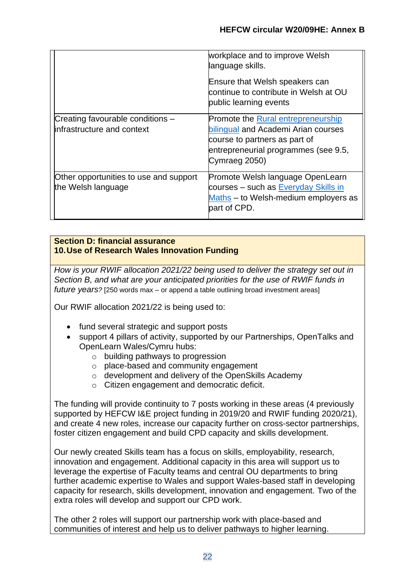|                                                                | workplace and to improve Welsh<br>language skills.                                                                                                                         |
|----------------------------------------------------------------|----------------------------------------------------------------------------------------------------------------------------------------------------------------------------|
|                                                                | Ensure that Welsh speakers can<br>continue to contribute in Welsh at OU<br>public learning events                                                                          |
| Creating favourable conditions -<br>infrastructure and context | <b>Promote the Rural entrepreneurship</b><br>bilingual and Academi Arian courses<br>course to partners as part of<br>entrepreneurial programmes (see 9.5,<br>Cymraeg 2050) |
| Other opportunities to use and support<br>the Welsh language   | Promote Welsh language OpenLearn<br>courses - such as Everyday Skills in<br>Maths - to Welsh-medium employers as<br>bart of CPD.                                           |

#### **Section D: financial assurance 10.Use of Research Wales Innovation Funding**

*How is your RWIF allocation 2021/22 being used to deliver the strategy set out in Section B, and what are your anticipated priorities for the use of RWIF funds in future years?* [250 words max – or append a table outlining broad investment areas]

Our RWIF allocation 2021/22 is being used to:

- fund several strategic and support posts
- support 4 pillars of activity, supported by our Partnerships, OpenTalks and OpenLearn Wales/Cymru hubs:
	- o building pathways to progression
	- o place-based and community engagement
	- o development and delivery of the OpenSkills Academy
	- o Citizen engagement and democratic deficit.

The funding will provide continuity to 7 posts working in these areas (4 previously supported by HEFCW I&E project funding in 2019/20 and RWIF funding 2020/21), and create 4 new roles, increase our capacity further on cross-sector partnerships, foster citizen engagement and build CPD capacity and skills development.

Our newly created Skills team has a focus on skills, employability, research, innovation and engagement. Additional capacity in this area will support us to leverage the expertise of Faculty teams and central OU departments to bring further academic expertise to Wales and support Wales-based staff in developing capacity for research, skills development, innovation and engagement. Two of the extra roles will develop and support our CPD work.

The other 2 roles will support our partnership work with place-based and communities of interest and help us to deliver pathways to higher learning.